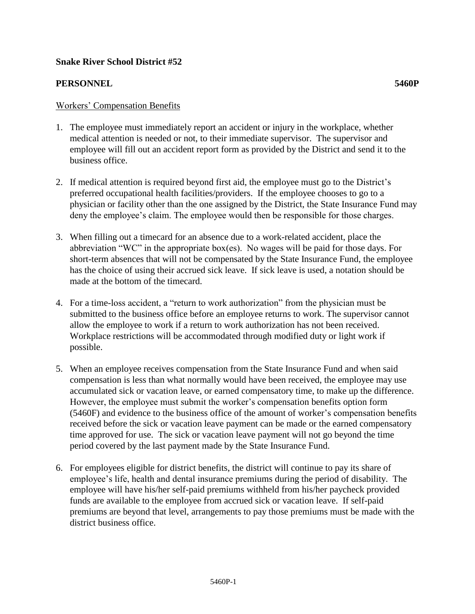## **Snake River School District #52**

## **PERSONNEL 5460P**

- 1. The employee must immediately report an accident or injury in the workplace, whether medical attention is needed or not, to their immediate supervisor. The supervisor and employee will fill out an accident report form as provided by the District and send it to the business office.
- 2. If medical attention is required beyond first aid, the employee must go to the District's preferred occupational health facilities/providers. If the employee chooses to go to a physician or facility other than the one assigned by the District, the State Insurance Fund may deny the employee's claim. The employee would then be responsible for those charges.
- 3. When filling out a timecard for an absence due to a work-related accident, place the abbreviation "WC" in the appropriate box(es). No wages will be paid for those days. For short-term absences that will not be compensated by the State Insurance Fund, the employee has the choice of using their accrued sick leave. If sick leave is used, a notation should be made at the bottom of the timecard.
- 4. For a time-loss accident, a "return to work authorization" from the physician must be submitted to the business office before an employee returns to work. The supervisor cannot allow the employee to work if a return to work authorization has not been received. Workplace restrictions will be accommodated through modified duty or light work if possible.
- 5. When an employee receives compensation from the State Insurance Fund and when said compensation is less than what normally would have been received, the employee may use accumulated sick or vacation leave, or earned compensatory time, to make up the difference. However, the employee must submit the worker's compensation benefits option form (5460F) and evidence to the business office of the amount of worker's compensation benefits received before the sick or vacation leave payment can be made or the earned compensatory time approved for use. The sick or vacation leave payment will not go beyond the time period covered by the last payment made by the State Insurance Fund.
- 6. For employees eligible for district benefits, the district will continue to pay its share of employee's life, health and dental insurance premiums during the period of disability. The employee will have his/her self-paid premiums withheld from his/her paycheck provided funds are available to the employee from accrued sick or vacation leave. If self-paid premiums are beyond that level, arrangements to pay those premiums must be made with the district business office.